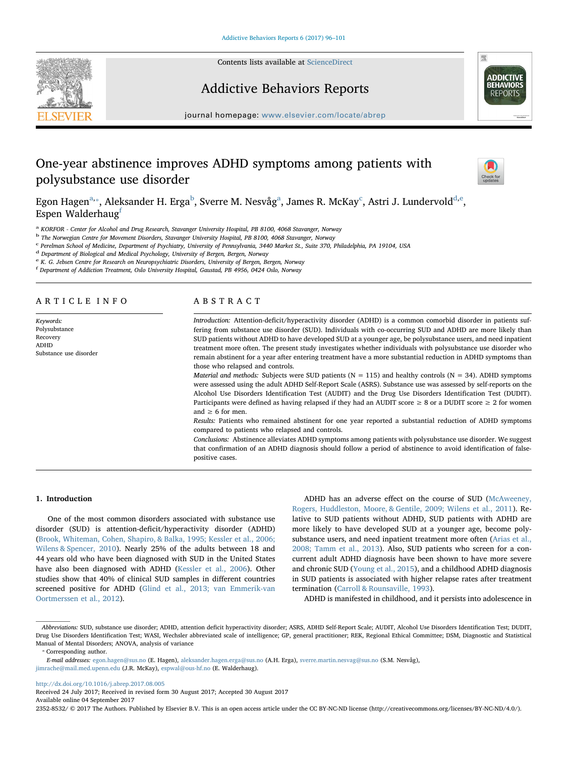

Contents lists available at [ScienceDirect](http://www.sciencedirect.com/science/journal/23528532)

# Addictive Behaviors Reports



journal homepage: [www.elsevier.com/locate/abrep](http://www.elsevier.com/locate/abrep)

# One-year abstinence improves ADHD symptoms among patients with polysubstance use disorder



Egon H[a](#page-0-0)g[e](#page-0-5)n $^{\rm a, *}$  $^{\rm a, *}$  $^{\rm a, *}$ , Aleksander H. Erga $^{\rm b}$  $^{\rm b}$  $^{\rm b}$ , Sverre M. Nesvåg $^{\rm a}$ , James R. M[c](#page-0-3)Kay $^{\rm c}$ , Astri J. Lundervold $^{\rm d,e}$  $^{\rm d,e}$  $^{\rm d,e}$ , Espen Walderhaug $f$ 

<span id="page-0-0"></span><sup>a</sup> KORFOR - Center for Alcohol and Drug Research, Stavanger University Hospital, PB 8100, 4068 Stavanger, Norway

<span id="page-0-2"></span><sup>b</sup> The Norwegian Centre for Movement Disorders, Stavanger University Hospital, PB 8100, 4068 Stavanger, Norway

<span id="page-0-3"></span><sup>c</sup> Perelman School of Medicine, Department of Psychiatry, University of Pennsylvania, 3440 Market St., Suite 370, Philadelphia, PA 19104, USA

<span id="page-0-4"></span><sup>d</sup> Department of Biological and Medical Psychology, University of Bergen, Bergen, Norway

<span id="page-0-5"></span><sup>e</sup> K. G. Jebsen Centre for Research on Neuropsychiatric Disorders, University of Bergen, Bergen, Norway

<span id="page-0-6"></span>f Department of Addiction Treatment, Oslo University Hospital, Gaustad, PB 4956, 0424 Oslo, Norway

# ARTICLE INFO

Keywords: Polysubstance Recovery ADHD Substance use disorder

# ABSTRACT

Introduction: Attention-deficit/hyperactivity disorder (ADHD) is a common comorbid disorder in patients suffering from substance use disorder (SUD). Individuals with co-occurring SUD and ADHD are more likely than SUD patients without ADHD to have developed SUD at a younger age, be polysubstance users, and need inpatient treatment more often. The present study investigates whether individuals with polysubstance use disorder who remain abstinent for a year after entering treatment have a more substantial reduction in ADHD symptoms than those who relapsed and controls.

Material and methods: Subjects were SUD patients ( $N = 115$ ) and healthy controls ( $N = 34$ ). ADHD symptoms were assessed using the adult ADHD Self-Report Scale (ASRS). Substance use was assessed by self-reports on the Alcohol Use Disorders Identification Test (AUDIT) and the Drug Use Disorders Identification Test (DUDIT). Participants were defined as having relapsed if they had an AUDIT score  $\geq 8$  or a DUDIT score  $\geq 2$  for women and  $\geq 6$  for men.

Results: Patients who remained abstinent for one year reported a substantial reduction of ADHD symptoms compared to patients who relapsed and controls.

Conclusions: Abstinence alleviates ADHD symptoms among patients with polysubstance use disorder. We suggest that confirmation of an ADHD diagnosis should follow a period of abstinence to avoid identification of falsepositive cases.

## 1. Introduction

One of the most common disorders associated with substance use disorder (SUD) is attention-deficit/hyperactivity disorder (ADHD) ([Brook, Whiteman, Cohen, Shapiro, & Balka, 1995; Kessler et al., 2006;](#page-4-0) [Wilens & Spencer, 2010](#page-4-0)). Nearly 25% of the adults between 18 and 44 years old who have been diagnosed with SUD in the United States have also been diagnosed with ADHD ([Kessler et al., 2006](#page-5-0)). Other studies show that 40% of clinical SUD samples in different countries screened positive for ADHD [\(Glind et al., 2013; van Emmerik-van](#page-5-1) [Oortmerssen et al., 2012\)](#page-5-1).

ADHD has an adverse effect on the course of SUD ([McAweeney,](#page-5-2) [Rogers, Huddleston, Moore, & Gentile, 2009; Wilens et al., 2011\)](#page-5-2). Relative to SUD patients without ADHD, SUD patients with ADHD are more likely to have developed SUD at a younger age, become polysubstance users, and need inpatient treatment more often ([Arias et al.,](#page-4-1) [2008; Tamm et al., 2013](#page-4-1)). Also, SUD patients who screen for a concurrent adult ADHD diagnosis have been shown to have more severe and chronic SUD ([Young et al., 2015\)](#page-5-3), and a childhood ADHD diagnosis in SUD patients is associated with higher relapse rates after treatment termination ([Carroll & Rounsaville, 1993\)](#page-4-2).

ADHD is manifested in childhood, and it persists into adolescence in

<span id="page-0-1"></span>⁎ Corresponding author.

<http://dx.doi.org/10.1016/j.abrep.2017.08.005>

Received 24 July 2017; Received in revised form 30 August 2017; Accepted 30 August 2017

Available online 04 September 2017

2352-8532/ © 2017 The Authors. Published by Elsevier B.V. This is an open access article under the CC BY-NC-ND license (http://creativecommons.org/licenses/BY-NC-ND/4.0/).

Abbreviations: SUD, substance use disorder; ADHD, attention deficit hyperactivity disorder; ASRS, ADHD Self-Report Scale; AUDIT, Alcohol Use Disorders Identification Test; DUDIT, Drug Use Disorders Identification Test; WASI, Wechsler abbreviated scale of intelligence; GP, general practitioner; REK, Regional Ethical Committee; DSM, Diagnostic and Statistical Manual of Mental Disorders; ANOVA, analysis of variance

E-mail addresses: [egon.hagen@sus.no](mailto:egon.hagen@sus.no) (E. Hagen), [aleksander.hagen.erga@sus.no](mailto:aleksander.hagen.erga@sus.no) (A.H. Erga), [sverre.martin.nesvag@sus.no](mailto:sverre.martin.nesvag@sus.no) (S.M. Nesvåg), [jimrache@mail.med.upenn.edu](mailto:jimrache@mail.med.upenn.edu) (J.R. McKay), [espwal@ous-hf.no](mailto:espwal@ous-hf.no) (E. Walderhaug).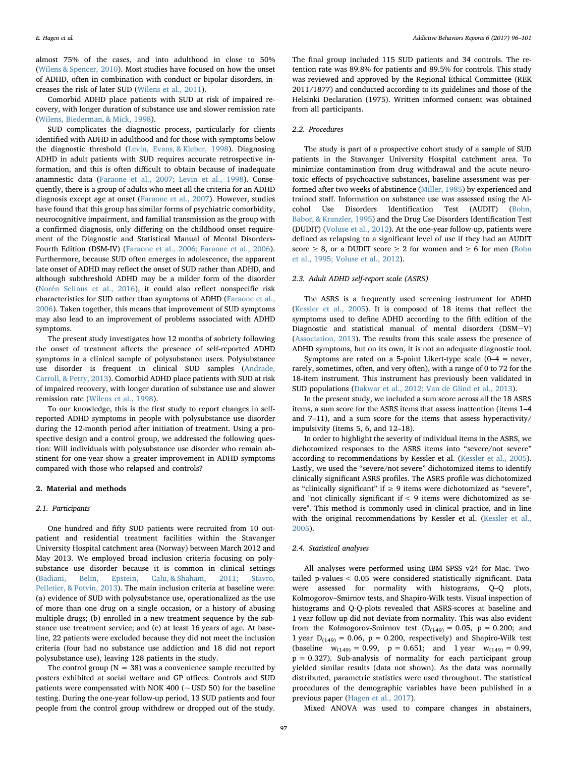almost 75% of the cases, and into adulthood in close to 50% ([Wilens & Spencer, 2010\)](#page-5-4). Most studies have focused on how the onset of ADHD, often in combination with conduct or bipolar disorders, increases the risk of later SUD [\(Wilens et al., 2011](#page-5-5)).

Comorbid ADHD place patients with SUD at risk of impaired recovery, with longer duration of substance use and slower remission rate ([Wilens, Biederman, & Mick, 1998](#page-5-6)).

SUD complicates the diagnostic process, particularly for clients identified with ADHD in adulthood and for those with symptoms below the diagnostic threshold ([Levin, Evans, & Kleber, 1998\)](#page-5-7). Diagnosing ADHD in adult patients with SUD requires accurate retrospective information, and this is often difficult to obtain because of inadequate anamnestic data [\(Faraone et al., 2007; Levin et al., 1998\)](#page-5-8). Consequently, there is a group of adults who meet all the criteria for an ADHD diagnosis except age at onset ([Faraone et al., 2007\)](#page-5-8). However, studies have found that this group has similar forms of psychiatric comorbidity, neurocognitive impairment, and familial transmission as the group with a confirmed diagnosis, only differing on the childhood onset requirement of the Diagnostic and Statistical Manual of Mental Disorders-Fourth Edition (DSM-IV) [\(Faraone et al., 2006; Faraone et al., 2006](#page-4-3)). Furthermore, because SUD often emerges in adolescence, the apparent late onset of ADHD may reflect the onset of SUD rather than ADHD, and although subthreshold ADHD may be a milder form of the disorder ([Norén Selinus et al., 2016\)](#page-5-9), it could also reflect nonspecific risk characteristics for SUD rather than symptoms of ADHD [\(Faraone et al.,](#page-4-3) [2006\)](#page-4-3). Taken together, this means that improvement of SUD symptoms may also lead to an improvement of problems associated with ADHD symptoms.

The present study investigates how 12 months of sobriety following the onset of treatment affects the presence of self-reported ADHD symptoms in a clinical sample of polysubstance users. Polysubstance use disorder is frequent in clinical SUD samples [\(Andrade,](#page-4-4) [Carroll, & Petry, 2013\)](#page-4-4). Comorbid ADHD place patients with SUD at risk of impaired recovery, with longer duration of substance use and slower remission rate ([Wilens et al., 1998\)](#page-5-6).

To our knowledge, this is the first study to report changes in selfreported ADHD symptoms in people with polysubstance use disorder during the 12-month period after initiation of treatment. Using a prospective design and a control group, we addressed the following question: Will individuals with polysubstance use disorder who remain abstinent for one-year show a greater improvement in ADHD symptoms compared with those who relapsed and controls?

#### 2. Material and methods

#### 2.1. Participants

One hundred and fifty SUD patients were recruited from 10 outpatient and residential treatment facilities within the Stavanger University Hospital catchment area (Norway) between March 2012 and May 2013. We employed broad inclusion criteria focusing on polysubstance use disorder because it is common in clinical settings ([Badiani, Belin, Epstein, Calu, & Shaham, 2011; Stavro,](#page-4-5) [Pelletier, & Potvin, 2013](#page-4-5)). The main inclusion criteria at baseline were: (a) evidence of SUD with polysubstance use, operationalized as the use of more than one drug on a single occasion, or a history of abusing multiple drugs; (b) enrolled in a new treatment sequence by the substance use treatment service; and (c) at least 16 years of age. At baseline, 22 patients were excluded because they did not meet the inclusion criteria (four had no substance use addiction and 18 did not report polysubstance use), leaving 128 patients in the study.

The control group ( $N = 38$ ) was a convenience sample recruited by posters exhibited at social welfare and GP offices. Controls and SUD patients were compensated with NOK 400 ( $\sim$  USD 50) for the baseline testing. During the one-year follow-up period, 13 SUD patients and four people from the control group withdrew or dropped out of the study.

The final group included 115 SUD patients and 34 controls. The retention rate was 89.8% for patients and 89.5% for controls. This study was reviewed and approved by the Regional Ethical Committee (REK 2011/1877) and conducted according to its guidelines and those of the Helsinki Declaration (1975). Written informed consent was obtained from all participants.

#### 2.2. Procedures

The study is part of a prospective cohort study of a sample of SUD patients in the Stavanger University Hospital catchment area. To minimize contamination from drug withdrawal and the acute neurotoxic effects of psychoactive substances, baseline assessment was performed after two weeks of abstinence ([Miller, 1985\)](#page-5-10) by experienced and trained staff. Information on substance use was assessed using the Alcohol Use Disorders Identification Test (AUDIT) [\(Bohn,](#page-4-6) [Babor, & Kranzler, 1995](#page-4-6)) and the Drug Use Disorders Identification Test (DUDIT) [\(Voluse et al., 2012\)](#page-5-11). At the one-year follow-up, patients were defined as relapsing to a significant level of use if they had an AUDIT score  $\geq 8$ , or a DUDIT score  $\geq 2$  for women and  $\geq 6$  for men [\(Bohn](#page-4-6) [et al., 1995; Voluse et al., 2012](#page-4-6)).

#### 2.3. Adult ADHD self-report scale (ASRS)

The ASRS is a frequently used screening instrument for ADHD ([Kessler et al., 2005](#page-5-12)). It is composed of 18 items that reflect the symptoms used to define ADHD according to the fifth edition of the Diagnostic and statistical manual of mental disorders (DSM-V) ([Association, 2013\)](#page-4-7). The results from this scale assess the presence of ADHD symptoms, but on its own, it is not an adequate diagnostic tool.

Symptoms are rated on a 5-point Likert-type scale (0–4 = never, rarely, sometimes, often, and very often), with a range of 0 to 72 for the 18-item instrument. This instrument has previously been validated in SUD populations ([Dakwar et al., 2012; Van de Glind et al., 2013\)](#page-4-8).

In the present study, we included a sum score across all the 18 ASRS items, a sum score for the ASRS items that assess inattention (items 1–4 and 7–11), and a sum score for the items that assess hyperactivity/ impulsivity (items 5, 6, and 12–18).

In order to highlight the severity of individual items in the ASRS, we dichotomized responses to the ASRS items into "severe/not severe" according to recommendations by Kessler et al. [\(Kessler et al., 2005](#page-5-12)). Lastly, we used the "severe/not severe" dichotomized items to identify clinically significant ASRS profiles. The ASRS profile was dichotomized as "clinically significant" if  $\geq$  9 items were dichotomized as "severe", and "not clinically significant if  $< 9$  items were dichotomized as severe". This method is commonly used in clinical practice, and in line with the original recommendations by Kessler et al. [\(Kessler et al.,](#page-5-12) [2005\)](#page-5-12).

#### 2.4. Statistical analyses

All analyses were performed using IBM SPSS v24 for Mac. Twotailed p-values < 0.05 were considered statistically significant. Data were assessed for normality with histograms, Q–Q plots, Kolmogorov–Smirnov tests, and Shapiro-Wilk tests. Visual inspection of histograms and Q-Q-plots revealed that ASRS-scores at baseline and 1 year follow up did not deviate from normality. This was also evident from the Kolmogorov-Smirnov test  $(D_{(149)} = 0.05, p = 0.200;$  and 1 year  $D_{(149)} = 0.06$ ,  $p = 0.200$ , respectively) and Shapiro-Wilk test (baseline  $w_{(149)} = 0.99$ ,  $p = 0.651$ ; and 1 year  $w_{(149)} = 0.99$ ,  $p = 0.327$ ). Sub-analysis of normality for each participant group yielded similar results (data not shown). As the data was normally distributed, parametric statistics were used throughout. The statistical procedures of the demographic variables have been published in a previous paper [\(Hagen et al., 2017](#page-5-13)).

Mixed ANOVA was used to compare changes in abstainers,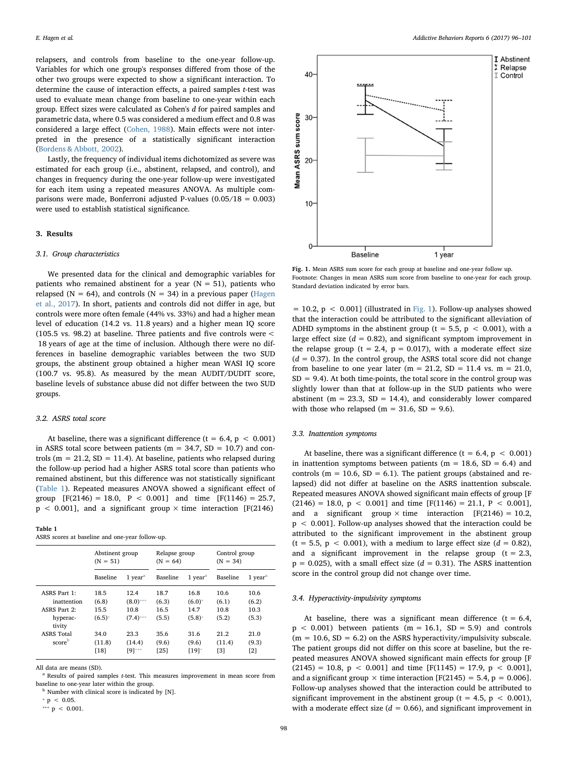relapsers, and controls from baseline to the one-year follow-up. Variables for which one group's responses differed from those of the other two groups were expected to show a significant interaction. To determine the cause of interaction effects, a paired samples t-test was used to evaluate mean change from baseline to one-year within each group. Effect sizes were calculated as Cohen's d for paired samples and parametric data, where 0.5 was considered a medium effect and 0.8 was considered a large effect ([Cohen, 1988\)](#page-4-9). Main effects were not interpreted in the presence of a statistically significant interaction ([Bordens & Abbott, 2002](#page-4-10)).

Lastly, the frequency of individual items dichotomized as severe was estimated for each group (i.e., abstinent, relapsed, and control), and changes in frequency during the one-year follow-up were investigated for each item using a repeated measures ANOVA. As multiple comparisons were made, Bonferroni adjusted P-values (0.05/18 = 0.003) were used to establish statistical significance.

#### 3. Results

#### 3.1. Group characteristics

We presented data for the clinical and demographic variables for patients who remained abstinent for a year  $(N = 51)$ , patients who relapsed ( $N = 64$ ), and controls ( $N = 34$ ) in a previous paper [\(Hagen](#page-5-13) [et al., 2017](#page-5-13)). In short, patients and controls did not differ in age, but controls were more often female (44% vs. 33%) and had a higher mean level of education (14.2 vs. 11.8 years) and a higher mean IQ score (105.5 vs. 98.2) at baseline. Three patients and five controls were < 18 years of age at the time of inclusion. Although there were no differences in baseline demographic variables between the two SUD groups, the abstinent group obtained a higher mean WASI IQ score (100.7 vs. 95.8). As measured by the mean AUDIT/DUDIT score, baseline levels of substance abuse did not differ between the two SUD groups.

#### 3.2. ASRS total score

At baseline, there was a significant difference ( $t = 6.4$ ,  $p < 0.001$ ) in ASRS total score between patients ( $m = 34.7$ ,  $SD = 10.7$ ) and controls ( $m = 21.2$ ,  $SD = 11.4$ ). At baseline, patients who relapsed during the follow-up period had a higher ASRS total score than patients who remained abstinent, but this difference was not statistically significant ([Table 1](#page-2-0)). Repeated measures ANOVA showed a significant effect of group  $[F(2146) = 18.0, P < 0.001]$  and time  $[F(1146) = 25.7,$  $p < 0.001$ ], and a significant group  $\times$  time interaction [F(2146)

<span id="page-2-0"></span>

| Table 1 |                                                 |
|---------|-------------------------------------------------|
|         | ASRS scores at baseline and one-year follow-up. |

|                   | Abstinent group |                     | Relapse group |                                    | Control group |                       |
|-------------------|-----------------|---------------------|---------------|------------------------------------|---------------|-----------------------|
|                   | $(N = 51)$      |                     | $(N = 64)$    |                                    | $(N = 34)$    |                       |
|                   | Baseline        | 1 year <sup>a</sup> | Baseline      | $1$ year <sup><math>a</math></sup> | Baseline      | $1$ year <sup>a</sup> |
| ASRS Part 1:      | 18.5            | 12.4                | 18.7          | 16.8                               | 10.6          | 10.6                  |
| inattention       | (6.8)           | $(8.0***$           | (6.3)         | $(6.0)$ *                          | (6.1)         | (6.2)                 |
| ASRS Part 2:      | 15.5            | 10.8                | 16.5          | 14.7                               | 10.8          | 10.3                  |
| hyperac-          | $(6.5)^*$       | $(7.4)$ ***         | (5.5)         | $(5.8)$ <sup>*</sup>               | (5.2)         | (5.3)                 |
| tivity            | 34.0            | 23.3                | 35.6          | 31.6                               | 21.2          | 21.0                  |
| <b>ASRS</b> Total | (11.8)          | (14.4)              | (9.6)         | (9.6)                              | (11.4)        | (9.3)                 |
| scoreb            | [18]            | [9]***              | [25]          | [19]                               | [3]           | [2]                   |

All data are means (SD).

<span id="page-2-2"></span><sup>a</sup> Results of paired samples *t*-test. This measures improvement in mean score from baseline to one-year later within the group.

<span id="page-2-5"></span> $<sup>b</sup>$  Number with clinical score is indicated by [N].</sup>

<span id="page-2-4"></span><span id="page-2-3"></span> $p < 0.05$ . \*\*\*  $p$  < 0.001.

<span id="page-2-1"></span>

Fig. 1. Mean ASRS sum score for each group at baseline and one-year follow up. Footnote: Changes in mean ASRS sum score from baseline to one-year for each group. Standard deviation indicated by error bars.

 $= 10.2$ ,  $p < 0.001$ ] (illustrated in [Fig. 1](#page-2-1)). Follow-up analyses showed that the interaction could be attributed to the significant alleviation of ADHD symptoms in the abstinent group (t = 5.5,  $p$  < 0.001), with a large effect size ( $d = 0.82$ ), and significant symptom improvement in the relapse group (t = 2.4,  $p = 0.017$ ), with a moderate effect size  $(d = 0.37)$ . In the control group, the ASRS total score did not change from baseline to one year later (m = 21.2, SD = 11.4 vs. m = 21.0,  $SD = 9.4$ ). At both time-points, the total score in the control group was slightly lower than that at follow-up in the SUD patients who were abstinent ( $m = 23.3$ ,  $SD = 14.4$ ), and considerably lower compared with those who relapsed ( $m = 31.6$ ,  $SD = 9.6$ ).

### 3.3. Inattention symptoms

At baseline, there was a significant difference ( $t = 6.4$ ,  $p < 0.001$ ) in inattention symptoms between patients ( $m = 18.6$ ,  $SD = 6.4$ ) and controls ( $m = 10.6$ ,  $SD = 6.1$ ). The patient groups (abstained and relapsed) did not differ at baseline on the ASRS inattention subscale. Repeated measures ANOVA showed significant main effects of group [F  $(2146) = 18.0, p < 0.001$ ] and time [F(1146) = 21.1, P < 0.001], and a significant group  $\times$  time interaction [F(2146) = 10.2, p < 0.001]. Follow-up analyses showed that the interaction could be attributed to the significant improvement in the abstinent group  $(t = 5.5, p < 0.001)$ , with a medium to large effect size  $(d = 0.82)$ , and a significant improvement in the relapse group  $(t = 2.3)$ ,  $p = 0.025$ ), with a small effect size ( $d = 0.31$ ). The ASRS inattention score in the control group did not change over time.

## 3.4. Hyperactivity-impulsivity symptoms

At baseline, there was a significant mean difference  $(t = 6.4,$  $p < 0.001$ ) between patients (m = 16.1, SD = 5.9) and controls  $(m = 10.6, SD = 6.2)$  on the ASRS hyperactivity/impulsivity subscale. The patient groups did not differ on this score at baseline, but the repeated measures ANOVA showed significant main effects for group [F  $(2145) = 10.8$ ,  $p < 0.001$  and time [F(1145) = 17.9,  $p < 0.001$ ], and a significant group  $\times$  time interaction [F(2145) = 5.4, p = 0.006]. Follow-up analyses showed that the interaction could be attributed to significant improvement in the abstinent group ( $t = 4.5$ ,  $p < 0.001$ ), with a moderate effect size ( $d = 0.66$ ), and significant improvement in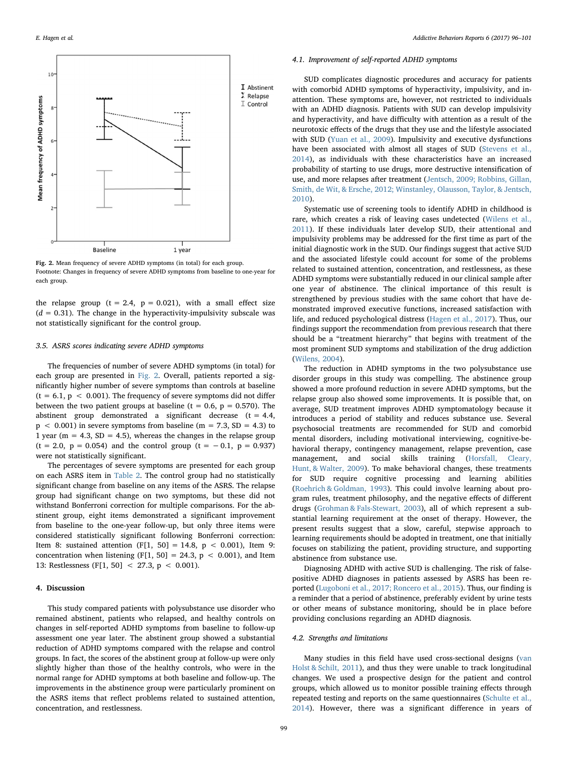<span id="page-3-0"></span>

Fig. 2. Mean frequency of severe ADHD symptoms (in total) for each group. Footnote: Changes in frequency of severe ADHD symptoms from baseline to one-year for each group.

the relapse group ( $t = 2.4$ ,  $p = 0.021$ ), with a small effect size  $(d = 0.31)$ . The change in the hyperactivity-impulsivity subscale was not statistically significant for the control group.

#### 3.5. ASRS scores indicating severe ADHD symptoms

The frequencies of number of severe ADHD symptoms (in total) for each group are presented in [Fig. 2.](#page-3-0) Overall, patients reported a significantly higher number of severe symptoms than controls at baseline  $(t = 6.1, p < 0.001)$ . The frequency of severe symptoms did not differ between the two patient groups at baseline ( $t = 0.6$ ,  $p = 0.570$ ). The abstinent group demonstrated a significant decrease  $(t = 4.4,$  $p \sim 0.001$ ) in severe symptoms from baseline (m = 7.3, SD = 4.3) to 1 year ( $m = 4.3$ ,  $SD = 4.5$ ), whereas the changes in the relapse group  $(t = 2.0, p = 0.054)$  and the control group  $(t = -0.1, p = 0.937)$ were not statistically significant.

The percentages of severe symptoms are presented for each group on each ASRS item in [Table 2.](#page-4-12) The control group had no statistically significant change from baseline on any items of the ASRS. The relapse group had significant change on two symptoms, but these did not withstand Bonferroni correction for multiple comparisons. For the abstinent group, eight items demonstrated a significant improvement from baseline to the one-year follow-up, but only three items were considered statistically significant following Bonferroni correction: Item 8: sustained attention (F[1, 50] = 14.8, p < 0.001), Item 9: concentration when listening  $(F[1, 50] = 24.3, p < 0.001)$ , and Item 13: Restlessness (F[1, 50] < 27.3, p < 0.001).

#### 4. Discussion

This study compared patients with polysubstance use disorder who remained abstinent, patients who relapsed, and healthy controls on changes in self-reported ADHD symptoms from baseline to follow-up assessment one year later. The abstinent group showed a substantial reduction of ADHD symptoms compared with the relapse and control groups. In fact, the scores of the abstinent group at follow-up were only slightly higher than those of the healthy controls, who were in the normal range for ADHD symptoms at both baseline and follow-up. The improvements in the abstinence group were particularly prominent on the ASRS items that reflect problems related to sustained attention, concentration, and restlessness.

#### 4.1. Improvement of self-reported ADHD symptoms

SUD complicates diagnostic procedures and accuracy for patients with comorbid ADHD symptoms of hyperactivity, impulsivity, and inattention. These symptoms are, however, not restricted to individuals with an ADHD diagnosis. Patients with SUD can develop impulsivity and hyperactivity, and have difficulty with attention as a result of the neurotoxic effects of the drugs that they use and the lifestyle associated with SUD ([Yuan et al., 2009\)](#page-5-14). Impulsivity and executive dysfunctions have been associated with almost all stages of SUD ([Stevens et al.,](#page-5-15) [2014\)](#page-5-15), as individuals with these characteristics have an increased probability of starting to use drugs, more destructive intensification of use, and more relapses after treatment ([Jentsch, 2009; Robbins, Gillan,](#page-5-16) [Smith, de Wit, & Ersche, 2012; Winstanley, Olausson, Taylor, & Jentsch,](#page-5-16) [2010\)](#page-5-16).

Systematic use of screening tools to identify ADHD in childhood is rare, which creates a risk of leaving cases undetected [\(Wilens et al.,](#page-5-5) [2011\)](#page-5-5). If these individuals later develop SUD, their attentional and impulsivity problems may be addressed for the first time as part of the initial diagnostic work in the SUD. Our findings suggest that active SUD and the associated lifestyle could account for some of the problems related to sustained attention, concentration, and restlessness, as these ADHD symptoms were substantially reduced in our clinical sample after one year of abstinence. The clinical importance of this result is strengthened by previous studies with the same cohort that have demonstrated improved executive functions, increased satisfaction with life, and reduced psychological distress ([Hagen et al., 2017](#page-5-13)). Thus, our findings support the recommendation from previous research that there should be a "treatment hierarchy" that begins with treatment of the most prominent SUD symptoms and stabilization of the drug addiction ([Wilens, 2004](#page-5-17)).

The reduction in ADHD symptoms in the two polysubstance use disorder groups in this study was compelling. The abstinence group showed a more profound reduction in severe ADHD symptoms, but the relapse group also showed some improvements. It is possible that, on average, SUD treatment improves ADHD symptomatology because it introduces a period of stability and reduces substance use. Several psychosocial treatments are recommended for SUD and comorbid mental disorders, including motivational interviewing, cognitive-behavioral therapy, contingency management, relapse prevention, case management, and social skills training ([Horsfall, Cleary,](#page-5-18) [Hunt, & Walter, 2009](#page-5-18)). To make behavioral changes, these treatments for SUD require cognitive processing and learning abilities ([Roehrich & Goldman, 1993](#page-5-19)). This could involve learning about program rules, treatment philosophy, and the negative effects of different drugs ([Grohman & Fals-Stewart, 2003\)](#page-5-20), all of which represent a substantial learning requirement at the onset of therapy. However, the present results suggest that a slow, careful, stepwise approach to learning requirements should be adopted in treatment, one that initially focuses on stabilizing the patient, providing structure, and supporting abstinence from substance use.

Diagnosing ADHD with active SUD is challenging. The risk of falsepositive ADHD diagnoses in patients assessed by ASRS has been reported [\(Lugoboni et al., 2017; Roncero et al., 2015\)](#page-5-21). Thus, our finding is a reminder that a period of abstinence, preferably evident by urine tests or other means of substance monitoring, should be in place before providing conclusions regarding an ADHD diagnosis.

# 4.2. Strengths and limitations

Many studies in this field have used cross-sectional designs ([van](#page-5-22) [Holst & Schilt, 2011\)](#page-5-22), and thus they were unable to track longitudinal changes. We used a prospective design for the patient and control groups, which allowed us to monitor possible training effects through repeated testing and reports on the same questionnaires [\(Schulte et al.,](#page-5-23) [2014\)](#page-5-23). However, there was a significant difference in years of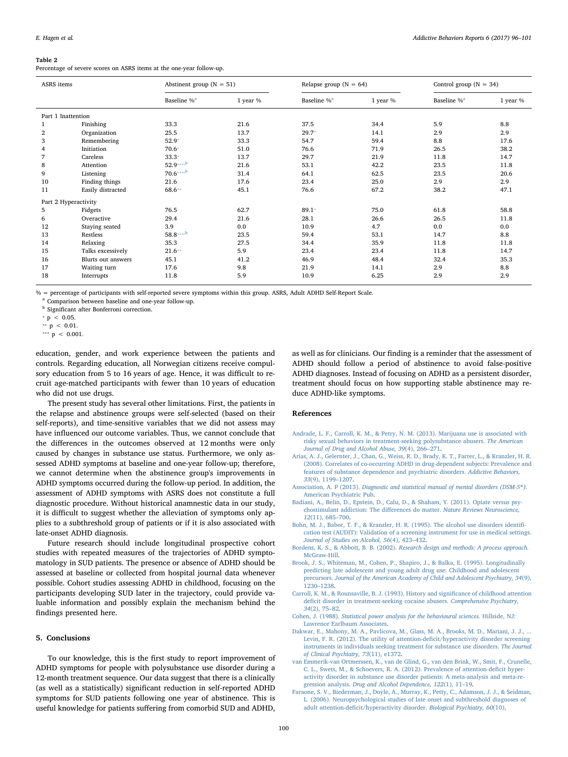#### <span id="page-4-12"></span>Table 2

Percentage of severe scores on ASRS items at the one-year follow-up.

| ASRS items           |                    | Abstinent group ( $N = 51$ ) |            | Relapse group ( $N = 64$ ) |            | Control group ( $N = 34$ ) |            |  |
|----------------------|--------------------|------------------------------|------------|----------------------------|------------|----------------------------|------------|--|
|                      |                    | Baseline % <sup>a</sup>      | 1 year $%$ | Baseline % <sup>a</sup>    | 1 year $%$ | Baseline % <sup>a</sup>    | 1 year $%$ |  |
| Part 1 Inattention   |                    |                              |            |                            |            |                            |            |  |
|                      | Finishing          | 33.3                         | 21.6       | 37.5                       | 34.4       | 5.9                        | 8.8        |  |
| 2                    | Organization       | 25.5                         | 13.7       | $29.7*$                    | 14.1       | 2.9                        | 2.9        |  |
| 3                    | Remembering        | $52.9*$                      | 33.3       | 54.7                       | 59.4       | 8.8                        | 17.6       |  |
| 4                    | Initiation         | $70.6*$                      | 51.0       | 76.6                       | 71.9       | 26.5                       | 38.2       |  |
|                      | Careless           | $33.3*$                      | 13.7       | 29.7                       | 21.9       | 11.8                       | 14.7       |  |
| 8                    | Attention          | $52.9***$ <sup>b</sup>       | 21.6       | 53.1                       | 42.2       | 23.5                       | 11.8       |  |
| 9                    | Listening          | $70.6***$ <sup>b</sup>       | 31.4       | 64.1                       | 62.5       | 23.5                       | 20.6       |  |
| 10                   | Finding things     | 21.6                         | 17.6       | 23.4                       | 25.0       | 2.9                        | 2.9        |  |
| 11                   | Easily distracted  | 68.6**                       | 45.1       | 76.6                       | 67.2       | 38.2                       | 47.1       |  |
| Part 2 Hyperactivity |                    |                              |            |                            |            |                            |            |  |
| 5                    | Fidgets            | 76.5                         | 62.7       | $89.1*$                    | 75.0       | 61.8                       | 58.8       |  |
| 6                    | Overactive         | 29.4                         | 21.6       | 28.1                       | 26.6       | 26.5                       | 11.8       |  |
| 12                   | Staying seated     | 3.9                          | 0.0        | 10.9                       | 4.7        | 0.0                        | 0.0        |  |
| 13                   | Restless           | $58.8***$ <sup>b</sup>       | 23.5       | 59.4                       | 53.1       | 14.7                       | 8.8        |  |
| 14                   | Relaxing           | 35.3                         | 27.5       | 34.4                       | 35.9       | 11.8                       | 11.8       |  |
| 15                   | Talks excessively  | $21.6**$                     | 5.9        | 23.4                       | 23.4       | 11.8                       | 14.7       |  |
| 16                   | Blurts out answers | 45.1                         | 41.2       | 46.9                       | 48.4       | 32.4                       | 35.3       |  |
| 17                   | Waiting turn       | 17.6                         | 9.8        | 21.9                       | 14.1       | 2.9                        | 8.8        |  |
| 18                   | Interrupts         | 11.8                         | 5.9        | 10.9                       | 6.25       | 2.9                        | 2.9        |  |

% = percentage of participants with self-reported severe symptoms within this group. ASRS, Adult ADHD Self-Report Scale.

<span id="page-4-11"></span><sup>a</sup> Comparison between baseline and one-year follow-up.

**b** Significant after Bonferroni correction.

<span id="page-4-13"></span> $p < 0.05$ .

<span id="page-4-15"></span>\*\*  $p \, < \, 0.01$ .

<span id="page-4-14"></span>\*\*\*  $p < 0.001$ .

education, gender, and work experience between the patients and controls. Regarding education, all Norwegian citizens receive compulsory education from 5 to 16 years of age. Hence, it was difficult to recruit age-matched participants with fewer than 10 years of education who did not use drugs.

The present study has several other limitations. First, the patients in the relapse and abstinence groups were self-selected (based on their self-reports), and time-sensitive variables that we did not assess may have influenced our outcome variables. Thus, we cannot conclude that the differences in the outcomes observed at 12 months were only caused by changes in substance use status. Furthermore, we only assessed ADHD symptoms at baseline and one-year follow-up; therefore, we cannot determine when the abstinence group's improvements in ADHD symptoms occurred during the follow-up period. In addition, the assessment of ADHD symptoms with ASRS does not constitute a full diagnostic procedure. Without historical anamnestic data in our study, it is difficult to suggest whether the alleviation of symptoms only applies to a subthreshold group of patients or if it is also associated with late-onset ADHD diagnosis.

Future research should include longitudinal prospective cohort studies with repeated measures of the trajectories of ADHD symptomatology in SUD patients. The presence or absence of ADHD should be assessed at baseline or collected from hospital journal data whenever possible. Cohort studies assessing ADHD in childhood, focusing on the participants developing SUD later in the trajectory, could provide valuable information and possibly explain the mechanism behind the findings presented here.

# 5. Conclusions

To our knowledge, this is the first study to report improvement of ADHD symptoms for people with polysubstance use disorder during a 12-month treatment sequence. Our data suggest that there is a clinically (as well as a statistically) significant reduction in self-reported ADHD symptoms for SUD patients following one year of abstinence. This is useful knowledge for patients suffering from comorbid SUD and ADHD,

as well as for clinicians. Our finding is a reminder that the assessment of ADHD should follow a period of abstinence to avoid false-positive ADHD diagnoses. Instead of focusing on ADHD as a persistent disorder, treatment should focus on how supporting stable abstinence may reduce ADHD-like symptoms.

## References

- <span id="page-4-4"></span>[Andrade, L. F., Carroll, K. M., & Petry, N. M. \(2013\). Marijuana use is associated with](http://refhub.elsevier.com/S2352-8532(17)30088-3/rf0005) [risky sexual behaviors in treatment-seeking polysubstance abusers.](http://refhub.elsevier.com/S2352-8532(17)30088-3/rf0005) The American [Journal of Drug and Alcohol Abuse, 39](http://refhub.elsevier.com/S2352-8532(17)30088-3/rf0005)(4), 266–271.
- <span id="page-4-1"></span>[Arias, A. J., Gelernter, J., Chan, G., Weiss, R. D., Brady, K. T., Farrer, L., & Kranzler, H. R.](http://refhub.elsevier.com/S2352-8532(17)30088-3/rf0010) [\(2008\). Correlates of co-occurring ADHD in drug-dependent subjects: Prevalence and](http://refhub.elsevier.com/S2352-8532(17)30088-3/rf0010) [features of substance dependence and psychiatric disorders.](http://refhub.elsevier.com/S2352-8532(17)30088-3/rf0010) Addictive Behaviors, 33[\(9\), 1199](http://refhub.elsevier.com/S2352-8532(17)30088-3/rf0010)–1207.
- <span id="page-4-7"></span>Association, A. P (2013). [Diagnostic and statistical manual of mental disorders \(DSM-5](http://refhub.elsevier.com/S2352-8532(17)30088-3/rf0015)®). [American Psychiatric Pub.](http://refhub.elsevier.com/S2352-8532(17)30088-3/rf0015)
- <span id="page-4-5"></span>[Badiani, A., Belin, D., Epstein, D., Calu, D., & Shaham, Y. \(2011\). Opiate versus psy](http://refhub.elsevier.com/S2352-8532(17)30088-3/rf0020)[chostimulant addiction: The di](http://refhub.elsevier.com/S2352-8532(17)30088-3/rf0020)fferences do matter. Nature Reviews Neuroscience, 12[\(11\), 685](http://refhub.elsevier.com/S2352-8532(17)30088-3/rf0020)–700.
- <span id="page-4-6"></span>[Bohn, M. J., Babor, T. F., & Kranzler, H. R. \(1995\). The alcohol use disorders identi](http://refhub.elsevier.com/S2352-8532(17)30088-3/rf0025)fi[cation test \(AUDIT\): Validation of a screening instrument for use in medical settings.](http://refhub.elsevier.com/S2352-8532(17)30088-3/rf0025) [Journal of Studies on Alcohol, 56](http://refhub.elsevier.com/S2352-8532(17)30088-3/rf0025)(4), 423–432.
- <span id="page-4-10"></span>Bordens, K. S., & Abbott, B. B. (2002). [Research design and methods: A process approach.](http://refhub.elsevier.com/S2352-8532(17)30088-3/rf0030) [McGraw-Hill.](http://refhub.elsevier.com/S2352-8532(17)30088-3/rf0030)
- <span id="page-4-0"></span>[Brook, J. S., Whiteman, M., Cohen, P., Shapiro, J., & Balka, E. \(1995\). Longitudinally](http://refhub.elsevier.com/S2352-8532(17)30088-3/rf0035) [predicting late adolescent and young adult drug use: Childhood and adolescent](http://refhub.elsevier.com/S2352-8532(17)30088-3/rf0035) precursors. [Journal of the American Academy of Child and Adolescent Psychiatry, 34](http://refhub.elsevier.com/S2352-8532(17)30088-3/rf0035)(9), 1230–[1238](http://refhub.elsevier.com/S2352-8532(17)30088-3/rf0035).
- <span id="page-4-2"></span>[Carroll, K. M., & Rounsaville, B. J. \(1993\). History and signi](http://refhub.elsevier.com/S2352-8532(17)30088-3/rf0040)ficance of childhood attention defi[cit disorder in treatment-seeking cocaine abusers.](http://refhub.elsevier.com/S2352-8532(17)30088-3/rf0040) Comprehensive Psychiatry, 34[\(2\), 75](http://refhub.elsevier.com/S2352-8532(17)30088-3/rf0040)–82.
- <span id="page-4-9"></span>Cohen, J. (1988). [Statistical power analysis for the behavioural sciences.](http://refhub.elsevier.com/S2352-8532(17)30088-3/rf0045) Hillside, NJ: [Lawrence Earlbaum Associates.](http://refhub.elsevier.com/S2352-8532(17)30088-3/rf0045)
- <span id="page-4-8"></span>[Dakwar, E., Mahony, M. A., Pavlicova, M., Glass, M. A., Brooks, M. D., Mariani, J. J., ...](http://refhub.elsevier.com/S2352-8532(17)30088-3/rf0050) [Levin, F. R. \(2012\). The utility of attention-de](http://refhub.elsevier.com/S2352-8532(17)30088-3/rf0050)ficit/hyperactivity disorder screening [instruments in individuals seeking treatment for substance use disorders.](http://refhub.elsevier.com/S2352-8532(17)30088-3/rf0050) The Journal [of Clinical Psychiatry, 73](http://refhub.elsevier.com/S2352-8532(17)30088-3/rf0050)(11), e1372.
- [van Emmerik-van Ortmerssen, K., van de Glind, G., van den Brink, W., Smit, F., Crunelle,](http://refhub.elsevier.com/S2352-8532(17)30088-3/rf0055) [C. L., Swets, M., & Schoevers, R. A. \(2012\). Prevalence of attention-de](http://refhub.elsevier.com/S2352-8532(17)30088-3/rf0055)ficit hyper[activity disorder in substance use disorder patients: A meta-analysis and meta-re](http://refhub.elsevier.com/S2352-8532(17)30088-3/rf0055)gression analysis. [Drug and Alcohol Dependence, 122](http://refhub.elsevier.com/S2352-8532(17)30088-3/rf0055)(1), 11–19.
- <span id="page-4-3"></span>[Faraone, S. V., Biederman, J., Doyle, A., Murray, K., Petty, C., Adamson, J. J., & Seidman,](http://refhub.elsevier.com/S2352-8532(17)30088-3/rf0060) [L. \(2006\). Neuropsychological studies of late onset and subthreshold diagnoses of](http://refhub.elsevier.com/S2352-8532(17)30088-3/rf0060) adult attention-defi[cit/hyperactivity disorder.](http://refhub.elsevier.com/S2352-8532(17)30088-3/rf0060) Biological Psychiatry, 60(10),